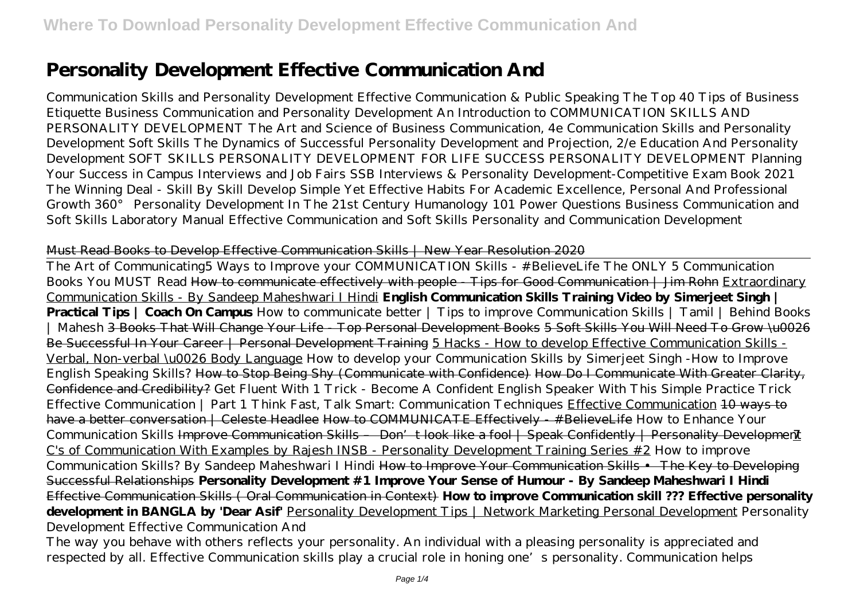# **Personality Development Effective Communication And**

Communication Skills and Personality Development Effective Communication & Public Speaking The Top 40 Tips of Business Etiquette Business Communication and Personality Development An Introduction to COMMUNICATION SKILLS AND PERSONALITY DEVELOPMENT The Art and Science of Business Communication, 4e Communication Skills and Personality Development Soft Skills The Dynamics of Successful Personality Development and Projection, 2/e Education And Personality Development SOFT SKILLS PERSONALITY DEVELOPMENT FOR LIFE SUCCESS PERSONALITY DEVELOPMENT Planning Your Success in Campus Interviews and Job Fairs SSB Interviews & Personality Development-Competitive Exam Book 2021 The Winning Deal - Skill By Skill Develop Simple Yet Effective Habits For Academic Excellence, Personal And Professional Growth 360° Personality Development In The 21st Century Humanology 101 Power Questions Business Communication and Soft Skills Laboratory Manual Effective Communication and Soft Skills Personality and Communication Development

#### Must Read Books to Develop Effective Communication Skills | New Year Resolution 2020

The Art of Communicating*5 Ways to Improve your COMMUNICATION Skills - #BelieveLife The ONLY 5 Communication Books You MUST Read* How to communicate effectively with people - Tips for Good Communication | Jim Rohn Extraordinary Communication Skills - By Sandeep Maheshwari I Hindi **English Communication Skills Training Video by Simerjeet Singh | Practical Tips | Coach On Campus** *How to communicate better | Tips to improve Communication Skills | Tamil | Behind Books | Mahesh* 3 Books That Will Change Your Life - Top Personal Development Books 5 Soft Skills You Will Need To Grow \u0026 Be Successful In Your Career | Personal Development Training 5 Hacks - How to develop Effective Communication Skills -Verbal, Non-verbal \u0026 Body Language *How to develop your Communication Skills by Simerjeet Singh -How to Improve English Speaking Skills?* How to Stop Being Shy (Communicate with Confidence) How Do I Communicate With Greater Clarity, Confidence and Credibility? Get Fluent With 1 Trick - Become A Confident English Speaker With This Simple Practice Trick Effective Communication | Part 1 Think Fast, Talk Smart: Communication Techniques Effective Communication 10 ways to have a better conversation | Celeste Headlee How to COMMUNICATE Effectively - #BelieveLife *How to Enhance Your Communication Skills* Improve Communication Skills – Don't look like a fool | Speak Confidently | Personality Development C's of Communication With Examples by Rajesh INSB - Personality Development Training Series #2 *How to improve Communication Skills? By Sandeep Maheshwari I Hindi* How to Improve Your Communication Skills • The Key to Developing Successful Relationships **Personality Development #1 Improve Your Sense of Humour - By Sandeep Maheshwari I Hindi** Effective Communication Skills ( Oral Communication in Context) **How to improve Communication skill ??? Effective personality development in BANGLA by 'Dear Asif'** Personality Development Tips | Network Marketing Personal Development Personality Development Effective Communication And

The way you behave with others reflects your personality. An individual with a pleasing personality is appreciated and respected by all. Effective Communication skills play a crucial role in honing one's personality. Communication helps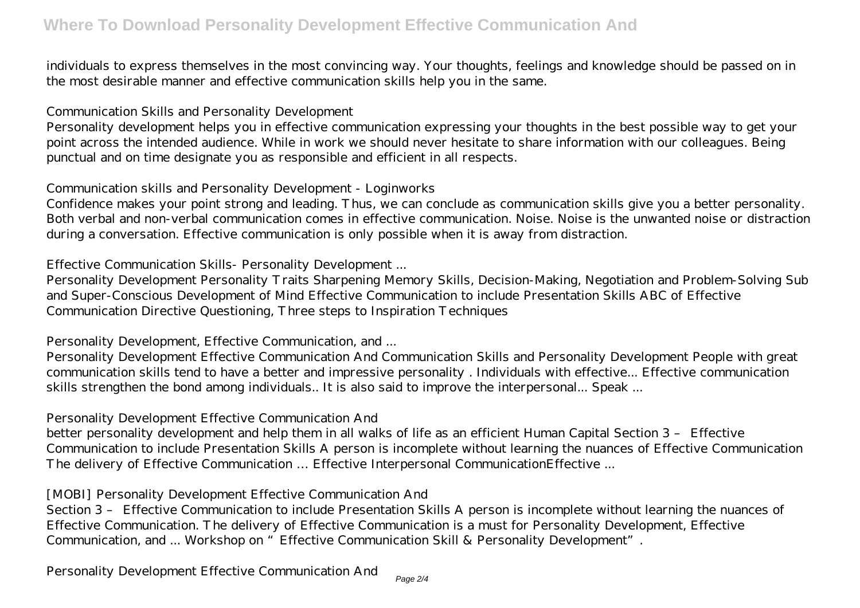individuals to express themselves in the most convincing way. Your thoughts, feelings and knowledge should be passed on in the most desirable manner and effective communication skills help you in the same.

## Communication Skills and Personality Development

Personality development helps you in effective communication expressing your thoughts in the best possible way to get your point across the intended audience. While in work we should never hesitate to share information with our colleagues. Being punctual and on time designate you as responsible and efficient in all respects.

Communication skills and Personality Development - Loginworks

Confidence makes your point strong and leading. Thus, we can conclude as communication skills give you a better personality. Both verbal and non-verbal communication comes in effective communication. Noise. Noise is the unwanted noise or distraction during a conversation. Effective communication is only possible when it is away from distraction.

Effective Communication Skills- Personality Development ...

Personality Development Personality Traits Sharpening Memory Skills, Decision-Making, Negotiation and Problem-Solving Sub and Super-Conscious Development of Mind Effective Communication to include Presentation Skills ABC of Effective Communication Directive Questioning, Three steps to Inspiration Techniques

Personality Development, Effective Communication, and ...

Personality Development Effective Communication And Communication Skills and Personality Development People with great communication skills tend to have a better and impressive personality . Individuals with effective... Effective communication skills strengthen the bond among individuals.. It is also said to improve the interpersonal... Speak ...

## Personality Development Effective Communication And

better personality development and help them in all walks of life as an efficient Human Capital Section 3 – Effective Communication to include Presentation Skills A person is incomplete without learning the nuances of Effective Communication The delivery of Effective Communication … Effective Interpersonal CommunicationEffective ...

## [MOBI] Personality Development Effective Communication And

Section 3 – Effective Communication to include Presentation Skills A person is incomplete without learning the nuances of Effective Communication. The delivery of Effective Communication is a must for Personality Development, Effective Communication, and ... Workshop on "Effective Communication Skill & Personality Development".

Personality Development Effective Communication And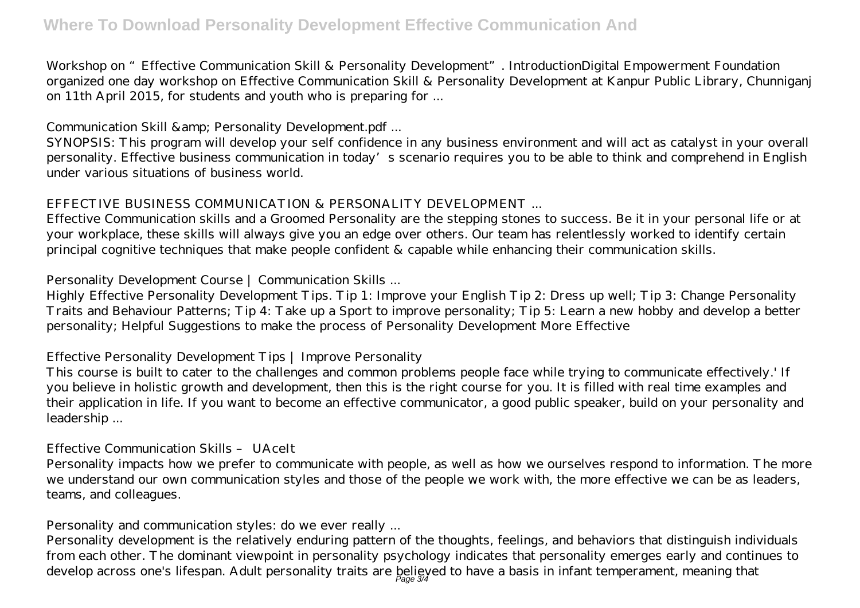# **Where To Download Personality Development Effective Communication And**

Workshop on "Effective Communication Skill & Personality Development". IntroductionDigital Empowerment Foundation organized one day workshop on Effective Communication Skill & Personality Development at Kanpur Public Library, Chunniganj on 11th April 2015, for students and youth who is preparing for ...

Communication Skill & amp; Personality Development.pdf ...

SYNOPSIS: This program will develop your self confidence in any business environment and will act as catalyst in your overall personality. Effective business communication in today's scenario requires you to be able to think and comprehend in English under various situations of business world.

# EFFECTIVE BUSINESS COMMUNICATION & PERSONALITY DEVELOPMENT ...

Effective Communication skills and a Groomed Personality are the stepping stones to success. Be it in your personal life or at your workplace, these skills will always give you an edge over others. Our team has relentlessly worked to identify certain principal cognitive techniques that make people confident & capable while enhancing their communication skills.

Personality Development Course | Communication Skills ...

Highly Effective Personality Development Tips. Tip 1: Improve your English Tip 2: Dress up well; Tip 3: Change Personality Traits and Behaviour Patterns; Tip 4: Take up a Sport to improve personality; Tip 5: Learn a new hobby and develop a better personality; Helpful Suggestions to make the process of Personality Development More Effective

# Effective Personality Development Tips | Improve Personality

This course is built to cater to the challenges and common problems people face while trying to communicate effectively.' If you believe in holistic growth and development, then this is the right course for you. It is filled with real time examples and their application in life. If you want to become an effective communicator, a good public speaker, build on your personality and leadership ...

## Effective Communication Skills – UAceIt

Personality impacts how we prefer to communicate with people, as well as how we ourselves respond to information. The more we understand our own communication styles and those of the people we work with, the more effective we can be as leaders, teams, and colleagues.

Personality and communication styles: do we ever really ...

Personality development is the relatively enduring pattern of the thoughts, feelings, and behaviors that distinguish individuals from each other. The dominant viewpoint in personality psychology indicates that personality emerges early and continues to develop across one's lifespan. Adult personality traits are believed to have a basis in infant temperament, meaning that